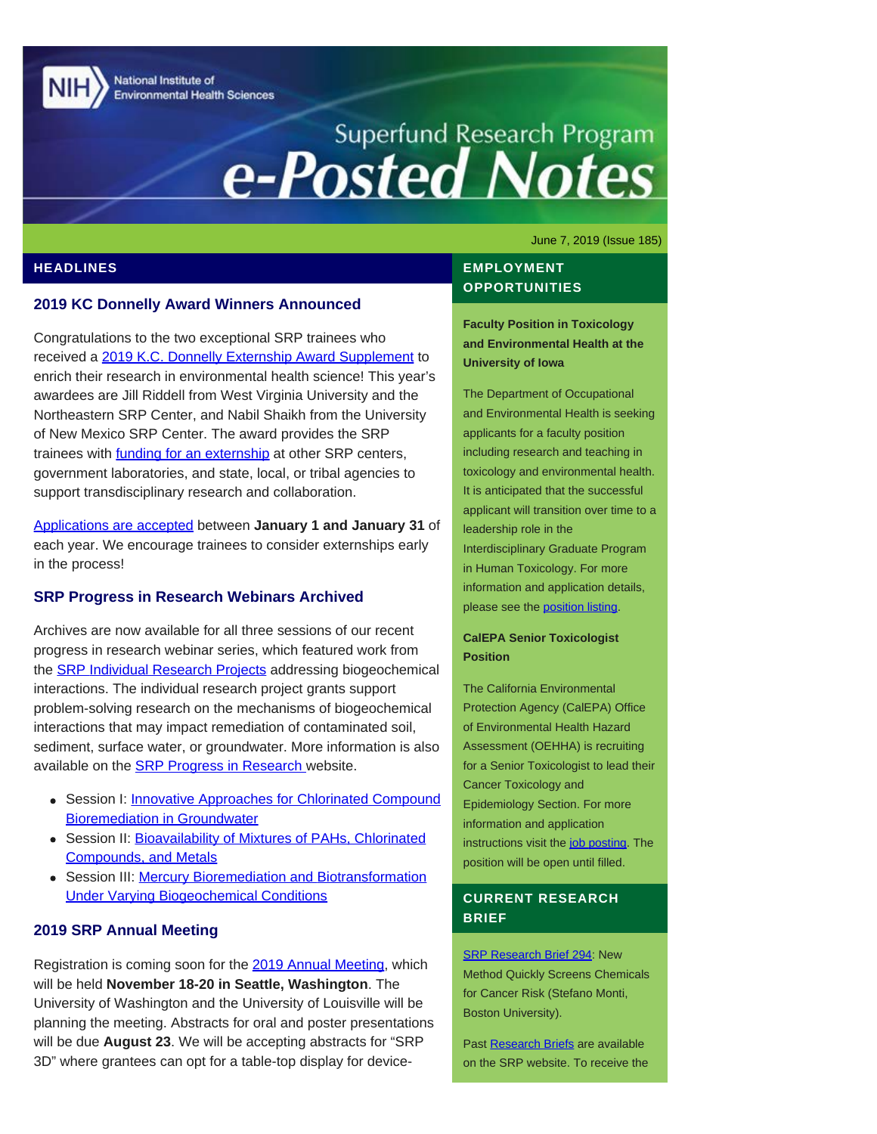National Institute of **Environmental Health Sciences** 

# Superfund Research Program<br> **e-Posted Notes**

June 7, 2019 (Issue 185)

## **HEADLINES**

### **2019 KC Donnelly Award Winners Announced**

Congratulations to the two exceptional SRP trainees who received a [2019 K.C. Donnelly Externship Award Supplement](https://www.niehs.nih.gov/research/supported/centers/srp/training/donnelly/2019winners/index.cfm) to enrich their research in environmental health science! This year's awardees are Jill Riddell from West Virginia University and the Northeastern SRP Center, and Nabil Shaikh from the University of New Mexico SRP Center. The award provides the SRP trainees with **[funding for an externship](https://www.niehs.nih.gov/research/supported/centers/srp/training/donnelly/index.cfm)** at other SRP centers, government laboratories, and state, local, or tribal agencies to support transdisciplinary research and collaboration.

[Applications are accepted](https://www.niehs.nih.gov/research/supported/centers/srp/training/donnelly/externshipguidelines/index.cfm) between **January 1 and January 31** of each year. We encourage trainees to consider externships early in the process!

#### **SRP Progress in Research Webinars Archived**

Archives are now available for all three sessions of our recent progress in research webinar series, which featured work from the **SRP Individual Research Projects** addressing biogeochemical interactions. The individual research project grants support problem-solving research on the mechanisms of biogeochemical interactions that may impact remediation of contaminated soil, sediment, surface water, or groundwater. More information is also available on the **[SRP Progress in Research](https://www.niehs.nih.gov/research/supported/centers/srp/events/inprogresswebinar/biogeochemical_interactions_2019/index.cfm) website.** 

- Session I: **Innovative Approaches for Chlorinated Compound** [Bioremediation in Groundwater](https://clu-in.org/conf/tio/srppir9/)
- Session II: [Bioavailability of Mixtures of PAHs, Chlorinated](https://clu-in.org/conf/tio/srppir10_051319/) [Compounds, and Metals](https://clu-in.org/conf/tio/srppir10_051319/)
- Session III: [Mercury Bioremediation and Biotransformation](https://clu-in.org/conf/tio/srppir11/) [Under Varying Biogeochemical Conditions](https://clu-in.org/conf/tio/srppir11/)

## **2019 SRP Annual Meeting**

Registration is coming soon for the [2019 Annual Meeting,](http://srp2019.org/) which will be held **November 18-20 in Seattle, Washington**. The University of Washington and the University of Louisville will be planning the meeting. Abstracts for oral and poster presentations will be due **August 23**. We will be accepting abstracts for "SRP 3D" where grantees can opt for a table-top display for device-

## **EMPLOYMENT OPPORTUNITIES**

**Faculty Position in Toxicology and Environmental Health at the University of Iowa**

The Department of Occupational and Environmental Health is seeking applicants for a faculty position including research and teaching in toxicology and environmental health. It is anticipated that the successful applicant will transition over time to a leadership role in the Interdisciplinary Graduate Program in Human Toxicology. For more information and application details, please see the [position listing](https://jobs.uiowa.edu/faculty/view/72734).

#### **CalEPA Senior Toxicologist Position**

The California Environmental Protection Agency (CalEPA) Office of Environmental Health Hazard Assessment (OEHHA) is recruiting for a Senior Toxicologist to lead their Cancer Toxicology and Epidemiology Section. For more information and application instructions visit the [job posting](https://jobs.ca.gov/CalHrPublic/Jobs/JobPosting.aspx?JobControlId=154697). The position will be open until filled.

# **CURRENT RESEARCH BRIEF**

**[SRP Research Brief 294](https://tools.niehs.nih.gov/srp/researchbriefs/view.cfm?Brief_ID=294): New** Method Quickly Screens Chemicals for Cancer Risk (Stefano Monti, Boston University).

Past [Research Briefs](http://tools.niehs.nih.gov/srp/researchbriefs/index.cfm) are available on the SRP website. To receive the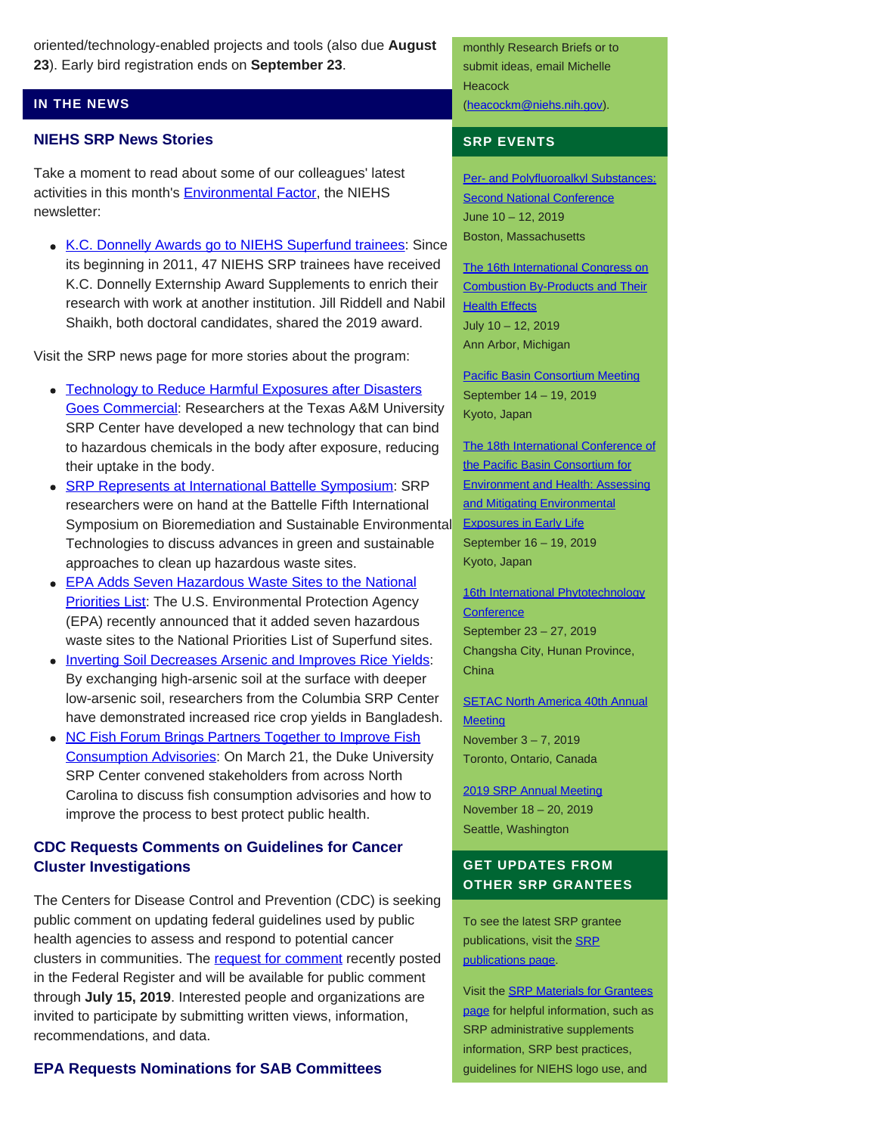oriented/technology-enabled projects and tools (also due **August 23**). Early bird registration ends on **September 23**.

# **IN THE NEWS**

#### **NIEHS SRP News Stories**

Take a moment to read about some of our colleagues' latest activities in this month's **Environmental Factor**, the NIEHS newsletter:

• [K.C. Donnelly Awards go to NIEHS Superfund trainees](https://factor.niehs.nih.gov/2019/6/awards-recognition/kc-donnelly/index.htm): Since its beginning in 2011, 47 NIEHS SRP trainees have received K.C. Donnelly Externship Award Supplements to enrich their research with work at another institution. Jill Riddell and Nabil Shaikh, both doctoral candidates, shared the 2019 award.

Visit the SRP news page for more stories about the program:

- [Technology to Reduce Harmful Exposures after Disasters](https://www.niehs.nih.gov/research/supported/centers/srp/news/2019news/index.cfm#a870937) [Goes Commercial](https://www.niehs.nih.gov/research/supported/centers/srp/news/2019news/index.cfm#a870937): Researchers at the Texas A&M University SRP Center have developed a new technology that can bind to hazardous chemicals in the body after exposure, reducing their uptake in the body.
- **[SRP Represents at International Battelle Symposium:](https://www.niehs.nih.gov/research/supported/centers/srp/news/2019news/index.cfm#a870916) SRP** researchers were on hand at the Battelle Fifth International Symposium on Bioremediation and Sustainable Environmental Technologies to discuss advances in green and sustainable approaches to clean up hazardous waste sites.
- **[EPA Adds Seven Hazardous Waste Sites to the National](https://www.niehs.nih.gov/research/supported/centers/srp/news/2019news/index.cfm#a870866) [Priorities List:](https://www.niehs.nih.gov/research/supported/centers/srp/news/2019news/index.cfm#a870866) The U.S. Environmental Protection Agency** (EPA) recently announced that it added seven hazardous waste sites to the National Priorities List of Superfund sites.
- [Inverting Soil Decreases Arsenic and Improves Rice Yields](https://www.niehs.nih.gov/research/supported/centers/srp/news/2019news/index.cfm#a870456): By exchanging high-arsenic soil at the surface with deeper low-arsenic soil, researchers from the Columbia SRP Center have demonstrated increased rice crop yields in Bangladesh.
- [NC Fish Forum Brings Partners Together to Improve Fish](https://www.niehs.nih.gov/research/supported/centers/srp/news/2019news/index.cfm#a868731) [Consumption Advisories](https://www.niehs.nih.gov/research/supported/centers/srp/news/2019news/index.cfm#a868731): On March 21, the Duke University SRP Center convened stakeholders from across North Carolina to discuss fish consumption advisories and how to improve the process to best protect public health.

# **CDC Requests Comments on Guidelines for Cancer Cluster Investigations**

The Centers for Disease Control and Prevention (CDC) is seeking public comment on updating federal guidelines used by public health agencies to assess and respond to potential cancer clusters in communities. The [request for comment](https://www.federalregister.gov/documents/2019/05/15/2019-09998/updating-federal-guidelines-used-by-public-health-agencies-to-assess-and-respond-to-potential-cancer) recently posted in the Federal Register and will be available for public comment through **July 15, 2019**. Interested people and organizations are invited to participate by submitting written views, information, recommendations, and data.

**EPA Requests Nominations for SAB Committees**

monthly Research Briefs or to submit ideas, email Michelle **Heacock** [\(heacockm@niehs.nih.gov\)](mailto:heacockm@niehs.nih.gov).

## **SRP EVENTS**

[Per- and Polyfluoroalkyl Substances:](https://pfasproject.com/2019/02/05/2019-pfas-conference/) **[Second National Conference](https://pfasproject.com/2019/02/05/2019-pfas-conference/)** June 10 – 12, 2019 Boston, Massachusetts

[The 16th International Congress on](https://pic2019.engin.umich.edu/home) [Combustion By-Products and Their](https://pic2019.engin.umich.edu/home) **[Health Effects](https://pic2019.engin.umich.edu/home)** July 10 – 12, 2019 Ann Arbor, Michigan

[Pacific Basin Consortium Meeting](https://pacificbasin.org/conferences-2/2019-conference/) September 14 – 19, 2019 Kyoto, Japan

[The 18th International Conference of](https://pacificbasin.org/conferences-2/2019-conference/) [the Pacific Basin Consortium for](https://pacificbasin.org/conferences-2/2019-conference/) [Environment and Health: Assessing](https://pacificbasin.org/conferences-2/2019-conference/) [and Mitigating Environmental](https://pacificbasin.org/conferences-2/2019-conference/) [Exposures in Early Life](https://pacificbasin.org/conferences-2/2019-conference/) September 16 – 19, 2019 Kyoto, Japan

[16th International Phytotechnology](https://phytosociety.org/events) **[Conference](https://phytosociety.org/events)** September 23 – 27, 2019 Changsha City, Hunan Province, **China** 

**[SETAC North America 40th Annual](https://toronto.setac.org/) [Meeting](https://toronto.setac.org/)** November 3 – 7, 2019 Toronto, Ontario, Canada

[2019 SRP Annual Meeting](http://srp2019.org/) November 18 – 20, 2019 Seattle, Washington

# **GET UPDATES FROM OTHER SRP GRANTEES**

To see the latest SRP grantee publications, visit the [SRP](http://tools.niehs.nih.gov/srp/publications/granteepublications.cfm) [publications page.](http://tools.niehs.nih.gov/srp/publications/granteepublications.cfm)

Visit the [SRP Materials for Grantees](https://www.niehs.nih.gov/research/supported/centers/srp/resources/index.cfm) [page](https://www.niehs.nih.gov/research/supported/centers/srp/resources/index.cfm) for helpful information, such as SRP administrative supplements information, SRP best practices, guidelines for NIEHS logo use, and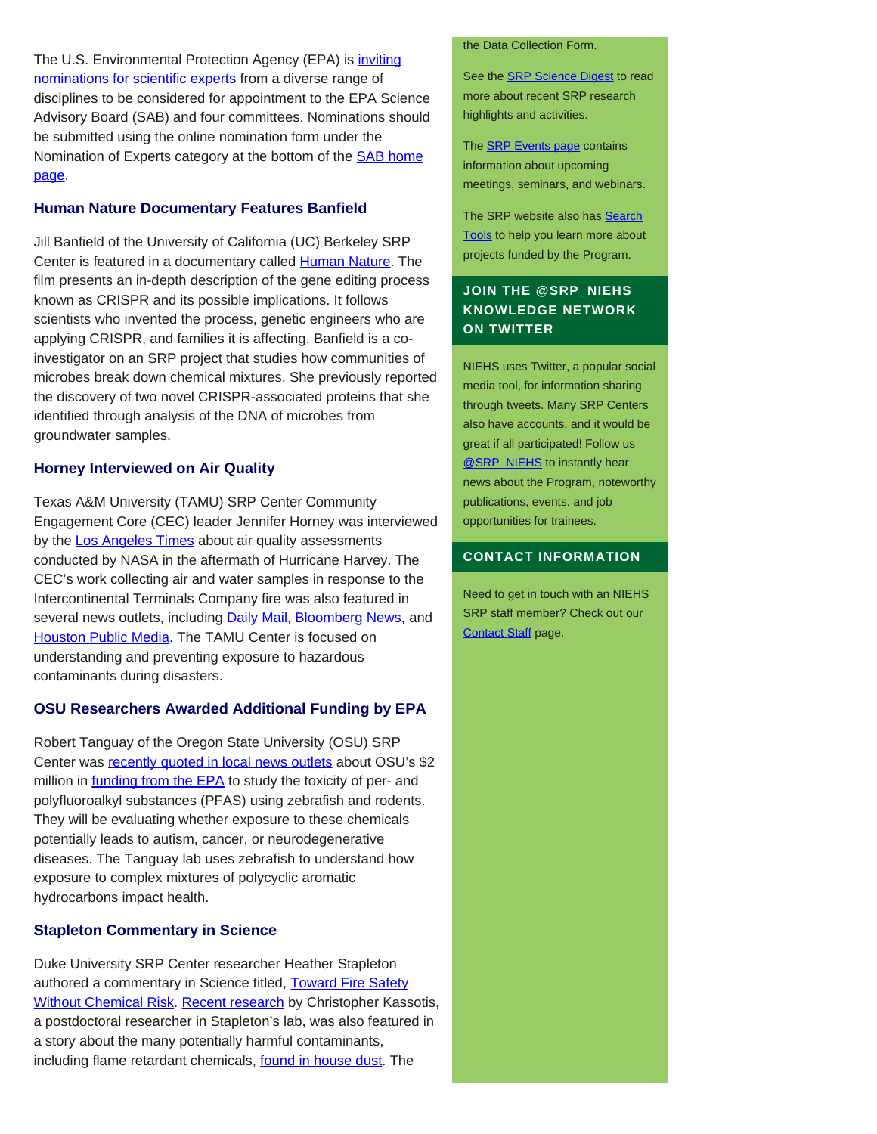The U.S. Environmental Protection Agency (EPA) is *inviting* [nominations for scientific experts](https://www.federalregister.gov/documents/2019/05/23/2019-10819/request-for-nominations-of-candidates-to-the-epas-science-advisory-board-sab-and-sab-standing) from a diverse range of disciplines to be considered for appointment to the EPA Science Advisory Board (SAB) and four committees. Nominations should be submitted using the online nomination form under the Nomination of Experts category at the bottom of the **[SAB home](http://www.epa.gov/sab)** [page](http://www.epa.gov/sab).

## **Human Nature Documentary Features Banfield**

Jill Banfield of the University of California (UC) Berkeley SRP Center is featured in a documentary called [Human Nature](https://wondercollaborative.org/human-nature-documentary-film/). The film presents an in-depth description of the gene editing process known as CRISPR and its possible implications. It follows scientists who invented the process, genetic engineers who are applying CRISPR, and families it is affecting. Banfield is a coinvestigator on an SRP project that studies how communities of microbes break down chemical mixtures. She previously reported the discovery of two novel CRISPR-associated proteins that she identified through analysis of the DNA of microbes from groundwater samples.

## **Horney Interviewed on Air Quality**

Texas A&M University (TAMU) SRP Center Community Engagement Core (CEC) leader Jennifer Horney was interviewed by the [Los Angeles Times](https://www.latimes.com/local/california/la-me-nasa-congress-houston-epa-hurricane-harvey-20190306-story.html) about air quality assessments conducted by NASA in the aftermath of Hurricane Harvey. The CEC's work collecting air and water samples in response to the Intercontinental Terminals Company fire was also featured in several news outlets, including **Daily Mail, [Bloomberg News](https://www.bloomberg.com/news/articles/2019-03-21/the-latest-vapors-escaping-amid-concerns-over-flare-ups)**, and [Houston Public Media.](https://www.houstonpublicmedia.org/articles/news/energy-environment/2019/03/21/326132/state-and-federal-agencies-test-deer-park-fire-runoff-for-chemical-contamination/) The TAMU Center is focused on understanding and preventing exposure to hazardous contaminants during disasters.

# **OSU Researchers Awarded Additional Funding by EPA**

Robert Tanguay of the Oregon State University (OSU) SRP Center was [recently quoted in local news outlets](https://www.kgw.com/article/tech/science/environment/oregon-state-awarded-2-million-to-study-common-chemicals/283-3269847b-0f16-4848-805b-4ef70db343b9) about OSU's \$2 million in **funding from the EPA** to study the toxicity of per- and polyfluoroalkyl substances (PFAS) using zebrafish and rodents. They will be evaluating whether exposure to these chemicals potentially leads to autism, cancer, or neurodegenerative diseases. The Tanguay lab uses zebrafish to understand how exposure to complex mixtures of polycyclic aromatic hydrocarbons impact health.

# **Stapleton Commentary in Science**

Duke University SRP Center researcher Heather Stapleton authored a commentary in Science titled, [Toward Fire Safety](https://science.sciencemag.org/content/364/6437/231.full) [Without Chemical Risk.](https://science.sciencemag.org/content/364/6437/231.full) [Recent research](https://www.eurekalert.org/pub_releases/2019-03/tes-cih032019.php) by Christopher Kassotis, a postdoctoral researcher in Stapleton's lab, was also featured in a story about the many potentially harmful contaminants, including flame retardant chemicals, **found in house dust**. The

#### the Data Collection Form.

See the **SRP Science Digest** to read more about recent SRP research highlights and activities.

The **SRP Events page contains** information about upcoming meetings, seminars, and webinars.

The SRP website also has [Search](http://tools.niehs.nih.gov/srp/search/index.cfm) [Tools](http://tools.niehs.nih.gov/srp/search/index.cfm) to help you learn more about projects funded by the Program.

# **JOIN THE @SRP\_NIEHS KNOWLEDGE NETWORK ON TWITTER**

NIEHS uses Twitter, a popular social media tool, for information sharing through tweets. Many SRP Centers also have accounts, and it would be great if all participated! Follow us **@SRP\_NIEHS** to instantly hear news about the Program, noteworthy publications, events, and job opportunities for trainees.

#### **CONTACT INFORMATION**

Need to get in touch with an NIEHS SRP staff member? Check out our [Contact Staff](http://www.niehs.nih.gov/research/supported/centers/srp/about/contacts/contact_staff/index.cfm) page.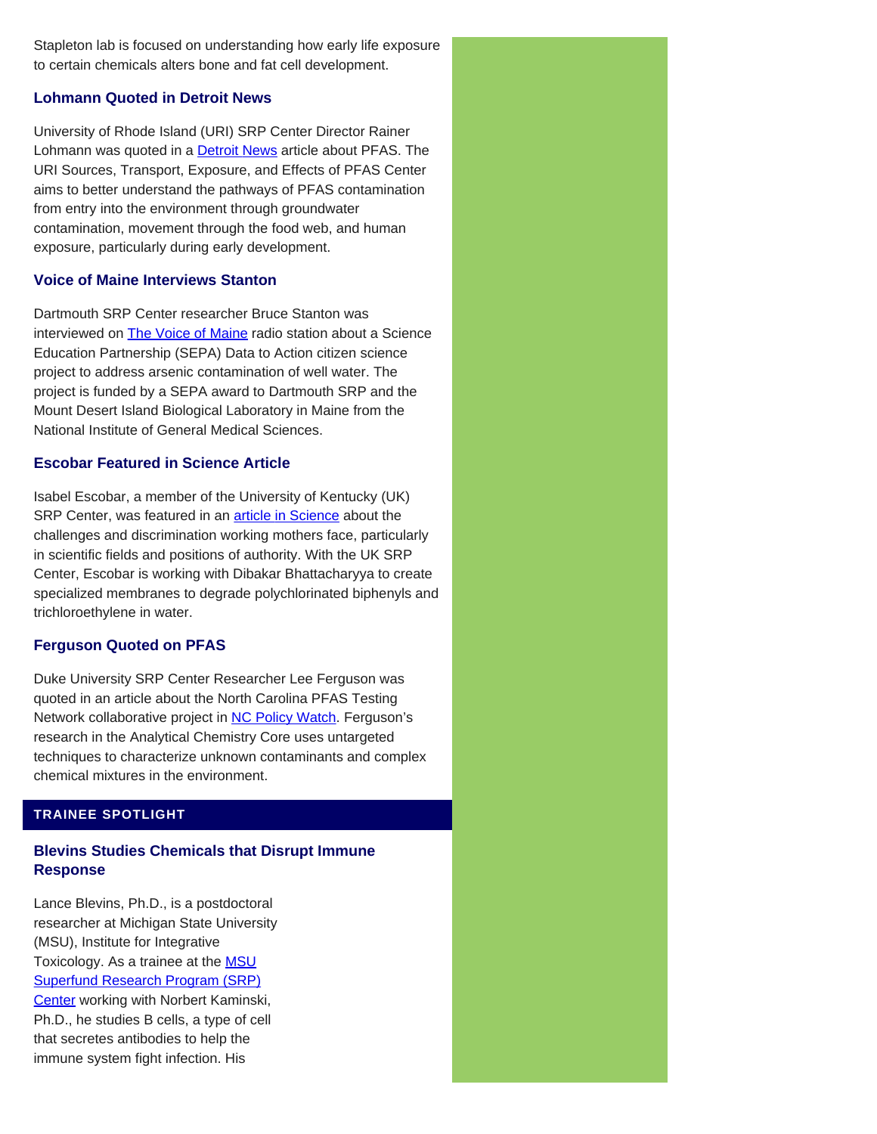Stapleton lab is focused on understanding how early life exposure to certain chemicals alters bone and fat cell development.

# **Lohmann Quoted in Detroit News**

University of Rhode Island (URI) SRP Center Director Rainer Lohmann was quoted in a **[Detroit News](https://www.detroitnews.com/story/news/local/michigan/2019/05/09/nessel-plans-to-sue-minnesota-based-3-m-pfas-contamination/1154028001/)** article about PFAS. The URI Sources, Transport, Exposure, and Effects of PFAS Center aims to better understand the pathways of PFAS contamination from entry into the environment through groundwater contamination, movement through the food web, and human exposure, particularly during early development.

## **Voice of Maine Interviews Stanton**

Dartmouth SRP Center researcher Bruce Stanton was interviewed on **The Voice of Maine** radio station about a Science Education Partnership (SEPA) Data to Action citizen science project to address arsenic contamination of well water. The project is funded by a SEPA award to Dartmouth SRP and the Mount Desert Island Biological Laboratory in Maine from the National Institute of General Medical Sciences.

## **Escobar Featured in Science Article**

Isabel Escobar, a member of the University of Kentucky (UK) SRP Center, was featured in an **article in Science** about the challenges and discrimination working mothers face, particularly in scientific fields and positions of authority. With the UK SRP Center, Escobar is working with Dibakar Bhattacharyya to create specialized membranes to degrade polychlorinated biphenyls and trichloroethylene in water.

# **Ferguson Quoted on PFAS**

Duke University SRP Center Researcher Lee Ferguson was quoted in an article about the North Carolina PFAS Testing Network collaborative project in [NC Policy Watch](http://pulse.ncpolicywatch.org/2019/04/10/scientists-update-lawmakers-on-pfas-research-including-presence-of-compounds-in-food/). Ferguson's research in the Analytical Chemistry Core uses untargeted techniques to characterize unknown contaminants and complex chemical mixtures in the environment.

# **TRAINEE SPOTLIGHT**

# **Blevins Studies Chemicals that Disrupt Immune Response**

Lance Blevins, Ph.D., is a postdoctoral researcher at Michigan State University (MSU), Institute for Integrative Toxicology. As a trainee at the **MSU** [Superfund Research Program \(SRP\)](https://tools.niehs.nih.gov/srp/programs/Program_detail.cfm?Project_ID=P42ES004911) [Center](https://tools.niehs.nih.gov/srp/programs/Program_detail.cfm?Project_ID=P42ES004911) working with Norbert Kaminski, Ph.D., he studies B cells, a type of cell that secretes antibodies to help the immune system fight infection. His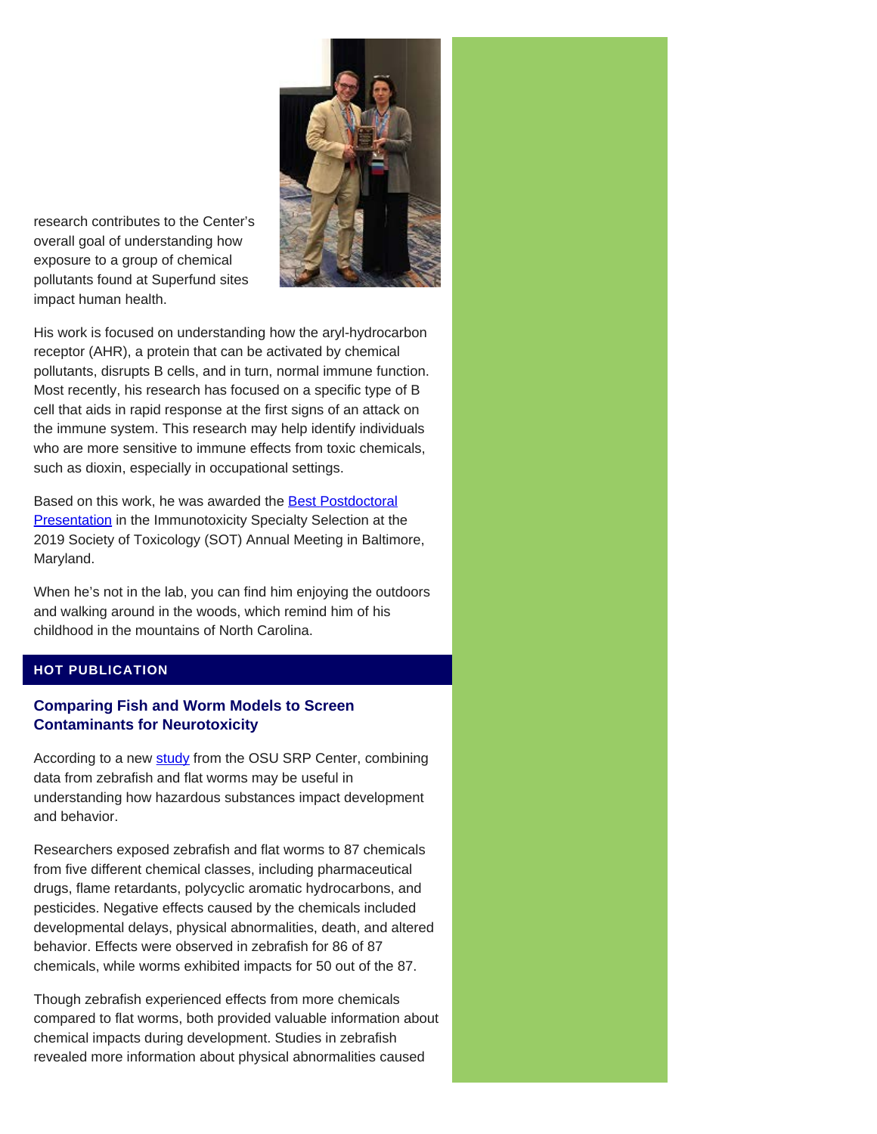

research contributes to the Center's overall goal of understanding how exposure to a group of chemical pollutants found at Superfund sites impact human health.

His work is focused on understanding how the aryl-hydrocarbon receptor (AHR), a protein that can be activated by chemical pollutants, disrupts B cells, and in turn, normal immune function. Most recently, his research has focused on a specific type of B cell that aids in rapid response at the first signs of an attack on the immune system. This research may help identify individuals who are more sensitive to immune effects from toxic chemicals, such as dioxin, especially in occupational settings.

Based on this work, he was awarded the **Best Postdoctoral [Presentation](https://www.niehs.nih.gov/research/supported/centers/srp/news/2019news/index.cfm#a866896)** in the Immunotoxicity Specialty Selection at the 2019 Society of Toxicology (SOT) Annual Meeting in Baltimore, Maryland.

When he's not in the lab, you can find him enjoying the outdoors and walking around in the woods, which remind him of his childhood in the mountains of North Carolina.

# **HOT PUBLICATION**

# **Comparing Fish and Worm Models to Screen Contaminants for Neurotoxicity**

According to a new [study](https://www.ncbi.nlm.nih.gov/pubmed/30011007) from the OSU SRP Center, combining data from zebrafish and flat worms may be useful in understanding how hazardous substances impact development and behavior.

Researchers exposed zebrafish and flat worms to 87 chemicals from five different chemical classes, including pharmaceutical drugs, flame retardants, polycyclic aromatic hydrocarbons, and pesticides. Negative effects caused by the chemicals included developmental delays, physical abnormalities, death, and altered behavior. Effects were observed in zebrafish for 86 of 87 chemicals, while worms exhibited impacts for 50 out of the 87.

Though zebrafish experienced effects from more chemicals compared to flat worms, both provided valuable information about chemical impacts during development. Studies in zebrafish revealed more information about physical abnormalities caused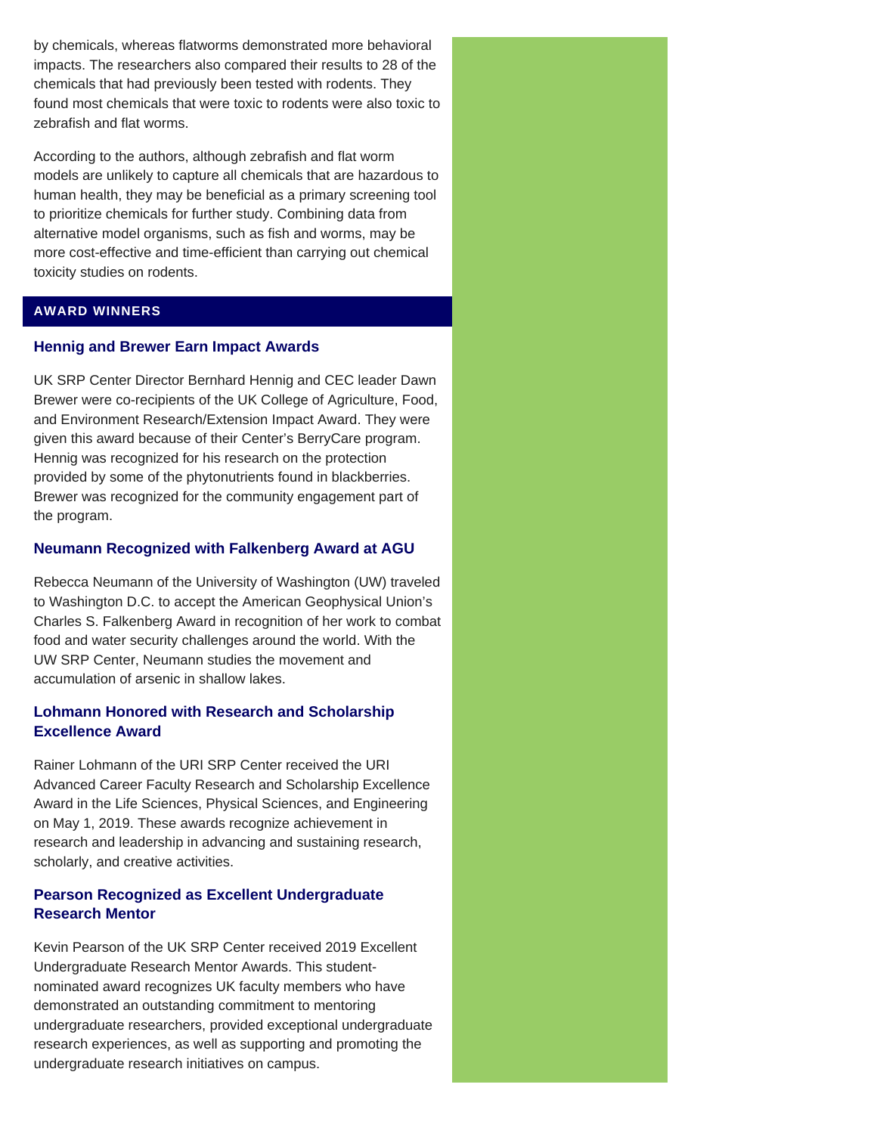by chemicals, whereas flatworms demonstrated more behavioral impacts. The researchers also compared their results to 28 of the chemicals that had previously been tested with rodents. They found most chemicals that were toxic to rodents were also toxic to zebrafish and flat worms.

According to the authors, although zebrafish and flat worm models are unlikely to capture all chemicals that are hazardous to human health, they may be beneficial as a primary screening tool to prioritize chemicals for further study. Combining data from alternative model organisms, such as fish and worms, may be more cost-effective and time-efficient than carrying out chemical toxicity studies on rodents.

## **AWARD WINNERS**

# **Hennig and Brewer Earn Impact Awards**

UK SRP Center Director Bernhard Hennig and CEC leader Dawn Brewer were co-recipients of the UK College of Agriculture, Food, and Environment Research/Extension Impact Award. They were given this award because of their Center's BerryCare program. Hennig was recognized for his research on the protection provided by some of the phytonutrients found in blackberries. Brewer was recognized for the community engagement part of the program.

## **Neumann Recognized with Falkenberg Award at AGU**

Rebecca Neumann of the University of Washington (UW) traveled to Washington D.C. to accept the American Geophysical Union's Charles S. Falkenberg Award in recognition of her work to combat food and water security challenges around the world. With the UW SRP Center, Neumann studies the movement and accumulation of arsenic in shallow lakes.

# **Lohmann Honored with Research and Scholarship Excellence Award**

Rainer Lohmann of the URI SRP Center received the URI Advanced Career Faculty Research and Scholarship Excellence Award in the Life Sciences, Physical Sciences, and Engineering on May 1, 2019. These awards recognize achievement in research and leadership in advancing and sustaining research, scholarly, and creative activities.

# **Pearson Recognized as Excellent Undergraduate Research Mentor**

Kevin Pearson of the UK SRP Center received 2019 Excellent Undergraduate Research Mentor Awards. This studentnominated award recognizes UK faculty members who have demonstrated an outstanding commitment to mentoring undergraduate researchers, provided exceptional undergraduate research experiences, as well as supporting and promoting the undergraduate research initiatives on campus.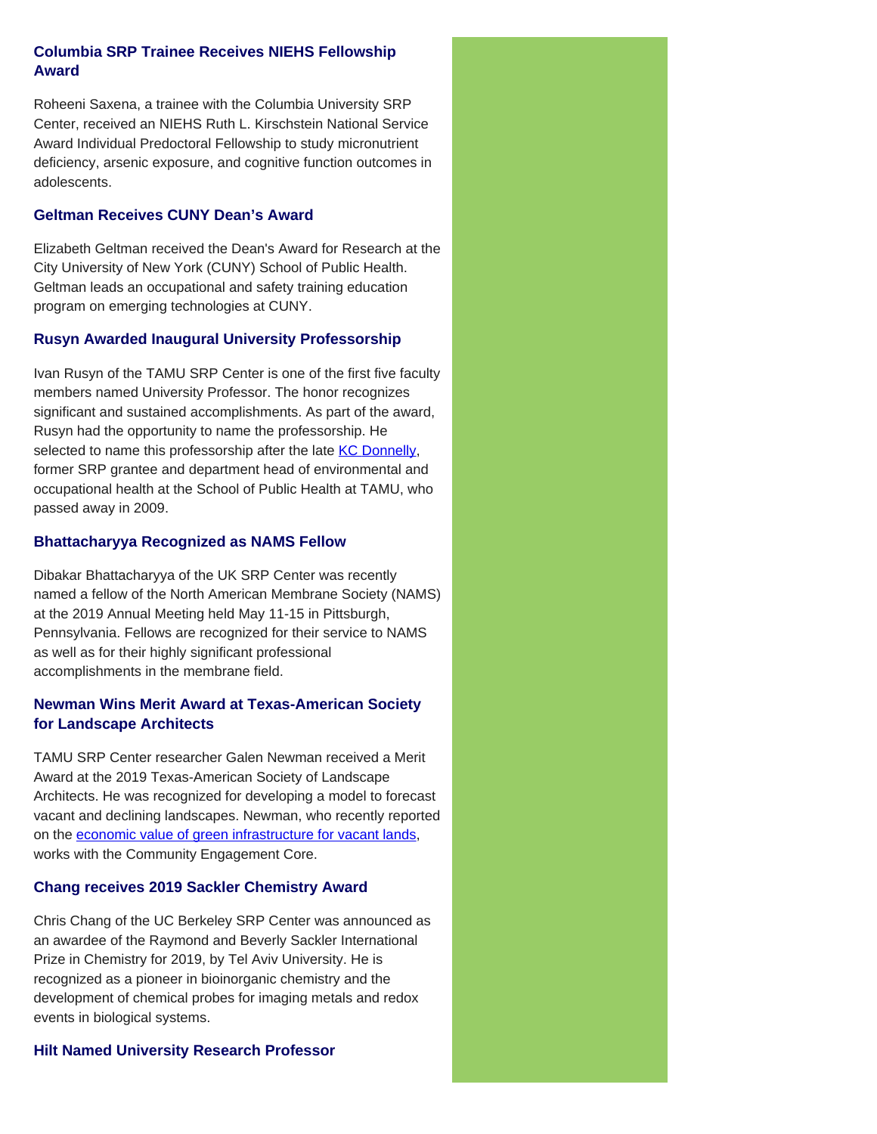# **Columbia SRP Trainee Receives NIEHS Fellowship Award**

Roheeni Saxena, a trainee with the Columbia University SRP Center, received an NIEHS Ruth L. Kirschstein National Service Award Individual Predoctoral Fellowship to study micronutrient deficiency, arsenic exposure, and cognitive function outcomes in adolescents.

## **Geltman Receives CUNY Dean's Award**

Elizabeth Geltman received the Dean's Award for Research at the City University of New York (CUNY) School of Public Health. Geltman leads an occupational and safety training education program on emerging technologies at CUNY.

# **Rusyn Awarded Inaugural University Professorship**

Ivan Rusyn of the TAMU SRP Center is one of the first five faculty members named University Professor. The honor recognizes significant and sustained accomplishments. As part of the award, Rusyn had the opportunity to name the professorship. He selected to name this professorship after the late [KC Donnelly](https://www.niehs.nih.gov/research/supported/centers/srp/training/donnelly/index.cfm), former SRP grantee and department head of environmental and occupational health at the School of Public Health at TAMU, who passed away in 2009.

# **Bhattacharyya Recognized as NAMS Fellow**

Dibakar Bhattacharyya of the UK SRP Center was recently named a fellow of the North American Membrane Society (NAMS) at the 2019 Annual Meeting held May 11-15 in Pittsburgh, Pennsylvania. Fellows are recognized for their service to NAMS as well as for their highly significant professional accomplishments in the membrane field.

# **Newman Wins Merit Award at Texas-American Society for Landscape Architects**

TAMU SRP Center researcher Galen Newman received a Merit Award at the 2019 Texas-American Society of Landscape Architects. He was recognized for developing a model to forecast vacant and declining landscapes. Newman, who recently reported on the [economic value of green infrastructure for vacant lands,](https://www.niehs.nih.gov/research/supported/centers/srp/news/2019news/index.cfm#a865760) works with the Community Engagement Core.

# **Chang receives 2019 Sackler Chemistry Award**

Chris Chang of the UC Berkeley SRP Center was announced as an awardee of the Raymond and Beverly Sackler International Prize in Chemistry for 2019, by Tel Aviv University. He is recognized as a pioneer in bioinorganic chemistry and the development of chemical probes for imaging metals and redox events in biological systems.

# **Hilt Named University Research Professor**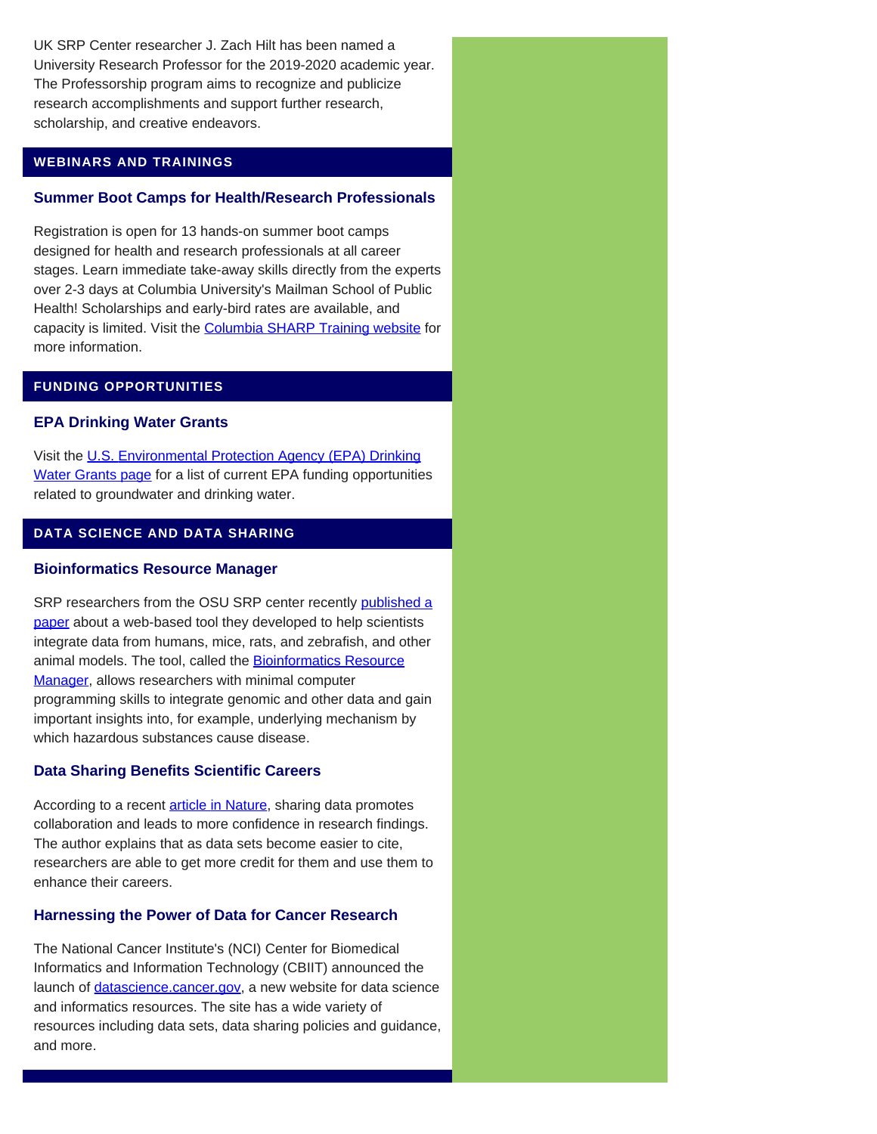UK SRP Center researcher J. Zach Hilt has been named a University Research Professor for the 2019-2020 academic year. The Professorship program aims to recognize and publicize research accomplishments and support further research, scholarship, and creative endeavors.

## **WEBINARS AND TRAININGS**

## **Summer Boot Camps for Health/Research Professionals**

Registration is open for 13 hands-on summer boot camps designed for health and research professionals at all career stages. Learn immediate take-away skills directly from the experts over 2-3 days at Columbia University's Mailman School of Public Health! Scholarships and early-bird rates are available, and capacity is limited. Visit the [Columbia SHARP Training website](https://www.mailman.columbia.edu/research/precision-prevention/sharp-training-skills-health-and-research-professionals?utm_medium=email&utm_source=mailchimp&utm_campaign=sharptraining_gnrl2019&utm_term=sharptraining) for more information.

## **FUNDING OPPORTUNITIES**

#### **EPA Drinking Water Grants**

Visit the [U.S. Environmental Protection Agency \(EPA\) Drinking](https://www.epa.gov/ground-water-and-drinking-water/drinking-water-grants) [Water Grants page](https://www.epa.gov/ground-water-and-drinking-water/drinking-water-grants) for a list of current EPA funding opportunities related to groundwater and drinking water.

## **DATA SCIENCE AND DATA SHARING**

#### **Bioinformatics Resource Manager**

SRP researchers from the OSU SRP center recently [published a](https://www.ncbi.nlm.nih.gov/pubmed/?term=31101000) [paper](https://www.ncbi.nlm.nih.gov/pubmed/?term=31101000) about a web-based tool they developed to help scientists integrate data from humans, mice, rats, and zebrafish, and other animal models. The tool, called the **[Bioinformatics Resource](https://cbb.pnnl.gov/brm/)** [Manager,](https://cbb.pnnl.gov/brm/) allows researchers with minimal computer programming skills to integrate genomic and other data and gain important insights into, for example, underlying mechanism by which hazardous substances cause disease.

#### **Data Sharing Benefits Scientific Careers**

According to a recent [article in Nature](https://www.nature.com/articles/d41586-019-01506-x), sharing data promotes collaboration and leads to more confidence in research findings. The author explains that as data sets become easier to cite, researchers are able to get more credit for them and use them to enhance their careers.

#### **Harnessing the Power of Data for Cancer Research**

The National Cancer Institute's (NCI) Center for Biomedical Informatics and Information Technology (CBIIT) announced the launch of *[datascience.cancer.gov](https://datascience.cancer.gov/)*, a new website for data science and informatics resources. The site has a wide variety of resources including data sets, data sharing policies and guidance, and more.